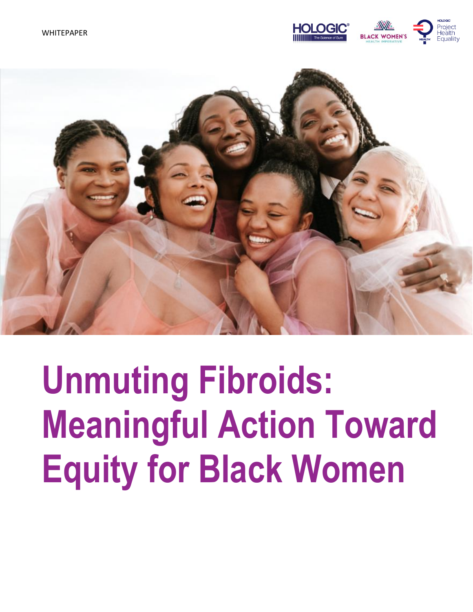



# **Unmuting Fibroids: Meaningful Action Toward Equity for Black Women**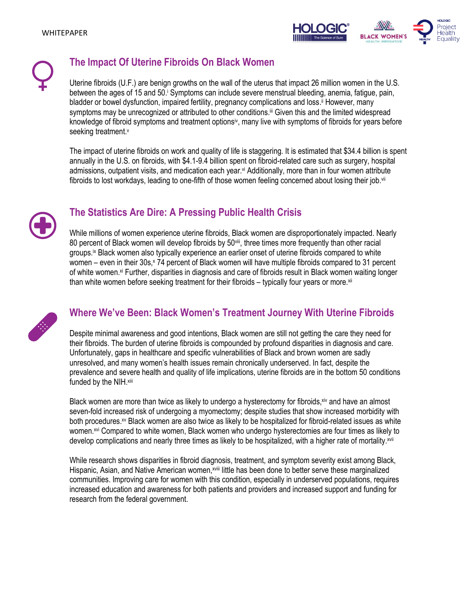



## **The Impact Of Uterine Fibroids On Black Women**

Uterine fibroids (U.F.) are benign growths on the wall of the uterus that impact 26 million women in the U.S. between the ages of 15 and 50. Symptoms can include severe menstrual bleeding, anemia, fatigue, pain, bladder or bowel dysfunction, impaired fertility, pregnancy complications and loss.<sup>ii</sup> However, many symptoms may be unrecognized or attributed to other conditions.<sup>ii</sup> Given this and the limited widespread knowledge of fibroid symptoms and treatment options<sup>iv</sup>, many live with symptoms of fibroids for years before seeking treatment. v

The impact of uterine fibroids on work and quality of life is staggering. It is estimated that \$34.4 billion is spent annually in the U.S. on fibroids, with \$4.1-9.4 billion spent on fibroid-related care such as surgery, hospital admissions, outpatient visits, and medication each year. vi Additionally, more than in four women attribute fibroids to lost workdays, leading to one-fifth of those women feeling concerned about losing their job.<sup>vii</sup>



## **The Statistics Are Dire: A Pressing Public Health Crisis**

While millions of women experience uterine fibroids, Black women are disproportionately impacted. Nearly 80 percent of Black women will develop fibroids by 50<sup>viii</sup>, three times more frequently than other racial groups.<sup>ix</sup> Black women also typically experience an earlier onset of uterine fibroids compared to white women – even in their 30s, $x$  74 percent of Black women will have multiple fibroids compared to 31 percent of white women.<sup>xi</sup> Further, disparities in diagnosis and care of fibroids result in Black women waiting longer than white women before seeking treatment for their fibroids – typically four years or more.xii



### **Where We've Been: Black Women's Treatment Journey With Uterine Fibroids**

Despite minimal awareness and good intentions, Black women are still not getting the care they need for their fibroids. The burden of uterine fibroids is compounded by profound disparities in diagnosis and care. Unfortunately, gaps in healthcare and specific vulnerabilities of Black and brown women are sadly unresolved, and many women's health issues remain chronically underserved. In fact, despite the prevalence and severe health and quality of life implications, uterine fibroids are in the bottom 50 conditions funded by the NIH.xiii

Black women are more than twice as likely to undergo a hysterectomy for fibroids, xiv and have an almost seven-fold increased risk of undergoing a myomectomy; despite studies that show increased morbidity with both procedures.<sup>xv</sup> Black women are also twice as likely to be hospitalized for fibroid-related issues as white women.xvi Compared to white women, Black women who undergo hysterectomies are four times as likely to develop complications and nearly three times as likely to be hospitalized, with a higher rate of mortality.<sup>xvii</sup>

While research shows disparities in fibroid diagnosis, treatment, and symptom severity exist among Black, Hispanic, Asian, and Native American women,<sup>xviii</sup> little has been done to better serve these marginalized communities. Improving care for women with this condition, especially in underserved populations, requires increased education and awareness for both patients and providers and increased support and funding for research from the federal government.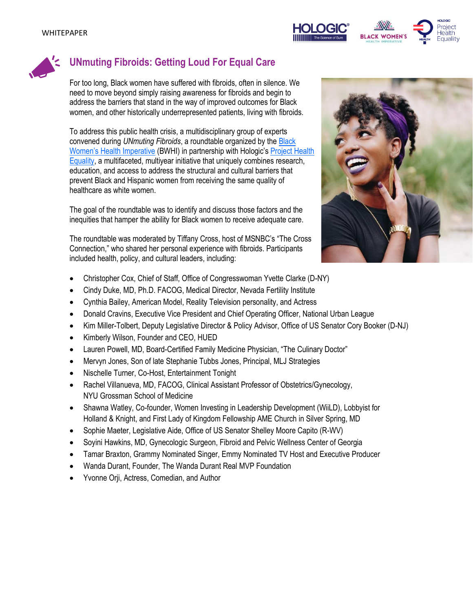





# **UNmuting Fibroids: Getting Loud For Equal Care**

For too long, Black women have suffered with fibroids, often in silence. We need to move beyond simply raising awareness for fibroids and begin to address the barriers that stand in the way of improved outcomes for Black women, and other historically underrepresented patients, living with fibroids.

To address this public health crisis, a multidisciplinary group of experts convened during *[UNmuting Fibroids](https://unmutingfibroids.com/)*, a roundtable organized by the [Black](https://bwhi.org/)  [Women's Health Imperative](https://bwhi.org/) (BWHI) in partnership with Hologic's [Project Health](https://www.hologic.com/ProjectHealthEquality)  [Equality,](https://www.hologic.com/ProjectHealthEquality) a multifaceted, multiyear initiative that uniquely combines research, education, and access to address the structural and cultural barriers that prevent Black and Hispanic women from receiving the same quality of healthcare as white women.

The goal of the roundtable was to identify and discuss those factors and the inequities that hamper the ability for Black women to receive adequate care.

The roundtable was moderated by Tiffany Cross, host of MSNBC's "The Cross Connection," who shared her personal experience with fibroids. Participants included health, policy, and cultural leaders, including:

- Christopher Cox, Chief of Staff, Office of Congresswoman Yvette Clarke (D-NY)
- Cindy Duke, MD, Ph.D. FACOG, Medical Director, Nevada Fertility Institute
- Cynthia Bailey, American Model, Reality Television personality, and Actress
- Donald Cravins, Executive Vice President and Chief Operating Officer, National Urban League
- Kim Miller-Tolbert, Deputy Legislative Director & Policy Advisor, Office of US Senator Cory Booker (D-NJ)
- Kimberly Wilson, Founder and CEO, HUED
- Lauren Powell, MD, Board-Certified Family Medicine Physician, "The Culinary Doctor"
- Mervyn Jones, Son of late Stephanie Tubbs Jones, Principal, MLJ Strategies
- Nischelle Turner, Co-Host, Entertainment Tonight
- Rachel Villanueva, MD, FACOG, Clinical Assistant Professor of Obstetrics/Gynecology, NYU Grossman School of Medicine
- Shawna Watley, Co-founder, Women Investing in Leadership Development (WiiLD), Lobbyist for Holland & Knight, and First Lady of Kingdom Fellowship AME Church in Silver Spring, MD
- Sophie Maeter, Legislative Aide, Office of US Senator Shelley Moore Capito (R-WV)
- Soyini Hawkins, MD, Gynecologic Surgeon, Fibroid and Pelvic Wellness Center of Georgia
- Tamar Braxton, Grammy Nominated Singer, Emmy Nominated TV Host and Executive Producer
- Wanda Durant, Founder, The Wanda Durant Real MVP Foundation
- Yvonne Orji, Actress, Comedian, and Author

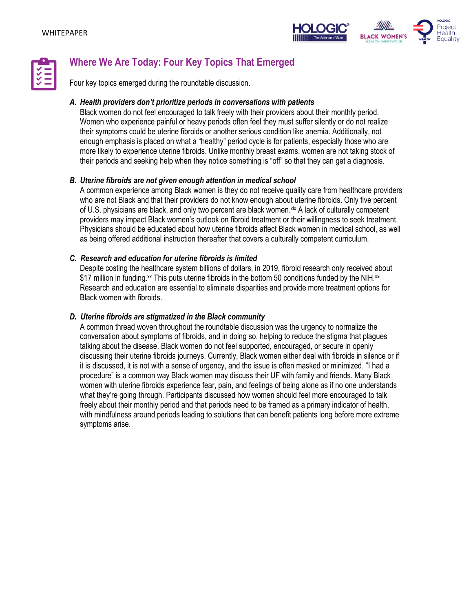



# **Where We Are Today: Four Key Topics That Emerged**

Four key topics emerged during the roundtable discussion.

#### *A. Health providers don't prioritize periods in conversations with patients*

Black women do not feel encouraged to talk freely with their providers about their monthly period. Women who experience painful or heavy periods often feel they must suffer silently or do not realize their symptoms could be uterine fibroids or another serious condition like anemia. Additionally, not enough emphasis is placed on what a "healthy" period cycle is for patients, especially those who are more likely to experience uterine fibroids. Unlike monthly breast exams, women are not taking stock of their periods and seeking help when they notice something is "off" so that they can get a diagnosis.

#### *B. Uterine fibroids are not given enough attention in medical school*

A common experience among Black women is they do not receive quality care from healthcare providers who are not Black and that their providers do not know enough about uterine fibroids. Only five percent of U.S. physicians are black, and only two percent are black women.<sup>xix</sup> A lack of culturally competent providers may impact Black women's outlook on fibroid treatment or their willingness to seek treatment. Physicians should be educated about how uterine fibroids affect Black women in medical school, as well as being offered additional instruction thereafter that covers a culturally competent curriculum.

#### *C. Research and education for uterine fibroids is limited*

Despite costing the healthcare system billions of dollars, in 2019, fibroid research only received about \$17 million in funding. $x$  This puts uterine fibroids in the bottom 50 conditions funded by the NIH. $xxi$ Research and education are essential to eliminate disparities and provide more treatment options for Black women with fibroids.

#### *D. Uterine fibroids are stigmatized in the Black community*

A common thread woven throughout the roundtable discussion was the urgency to normalize the conversation about symptoms of fibroids, and in doing so, helping to reduce the stigma that plagues talking about the disease. Black women do not feel supported, encouraged, or secure in openly discussing their uterine fibroids journeys. Currently, Black women either deal with fibroids in silence or if it is discussed, it is not with a sense of urgency, and the issue is often masked or minimized. "I had a procedure" is a common way Black women may discuss their UF with family and friends. Many Black women with uterine fibroids experience fear, pain, and feelings of being alone as if no one understands what they're going through. Participants discussed how women should feel more encouraged to talk freely about their monthly period and that periods need to be framed as a primary indicator of health, with mindfulness around periods leading to solutions that can benefit patients long before more extreme symptoms arise.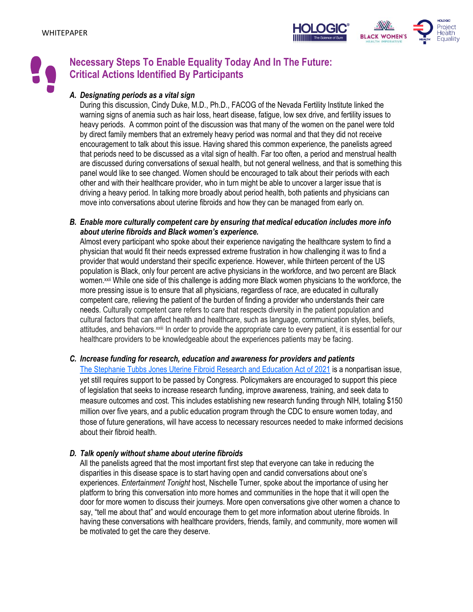



## **Necessary Steps To Enable Equality Today And In The Future: Critical Actions Identified By Participants**

#### *A. Designating periods as a vital sign*

During this discussion, Cindy Duke, M.D., Ph.D., FACOG of the Nevada Fertility Institute linked the warning signs of anemia such as hair loss, heart disease, fatigue, low sex drive, and fertility issues to heavy periods. A common point of the discussion was that many of the women on the panel were told by direct family members that an extremely heavy period was normal and that they did not receive encouragement to talk about this issue. Having shared this common experience, the panelists agreed that periods need to be discussed as a vital sign of health. Far too often, a period and menstrual health are discussed during conversations of sexual health, but not general wellness, and that is something this panel would like to see changed. Women should be encouraged to talk about their periods with each other and with their healthcare provider, who in turn might be able to uncover a larger issue that is driving a heavy period. In talking more broadly about period health, both patients and physicians can move into conversations about uterine fibroids and how they can be managed from early on.

*B. Enable more culturally competent care by ensuring that medical education includes more info about uterine fibroids and Black women's experience.*

Almost every participant who spoke about their experience navigating the healthcare system to find a physician that would fit their needs expressed extreme frustration in how challenging it was to find a provider that would understand their specific experience. However, while thirteen percent of the US population is Black, only four percent are active physicians in the workforce, and two percent are Black women.<sup>xxii</sup> While one side of this challenge is adding more Black women physicians to the workforce, the more pressing issue is to ensure that all physicians, regardless of race, are educated in culturally competent care, relieving the patient of the burden of finding a provider who understands their care needs. Culturally competent care refers to care that respects diversity in the patient population and cultural factors that can affect health and healthcare, such as language, communication styles, beliefs, attitudes, and behaviors.xxiii In order to provide the appropriate care to every patient, it is essential for our healthcare providers to be knowledgeable about the experiences patients may be facing.

#### *C. Increase funding for research, education and awareness for providers and patients*

[The Stephanie Tubbs Jones Uterine Fibroid Research and Education Act of 2021](https://clarke.house.gov/clarke-introduces-h-r-2007-the-stephanie-tubbs-jones-uterine-fibroid-research-and-education-act-of-2021/) is a nonpartisan issue, yet still requires support to be passed by Congress. Policymakers are encouraged to support this piece of legislation that seeks to increase research funding, improve awareness, training, and seek data to measure outcomes and cost. This includes establishing new research funding through NIH, totaling \$150 million over five years, and a public education program through the CDC to ensure women today, and those of future generations, will have access to necessary resources needed to make informed decisions about their fibroid health.

#### *D. Talk openly without shame about uterine fibroids*

All the panelists agreed that the most important first step that everyone can take in reducing the disparities in this disease space is to start having open and candid conversations about one's experiences. *Entertainment Tonight* host, Nischelle Turner, spoke about the importance of using her platform to bring this conversation into more homes and communities in the hope that it will open the door for more women to discuss their journeys. More open conversations give other women a chance to say, "tell me about that" and would encourage them to get more information about uterine fibroids. In having these conversations with healthcare providers, friends, family, and community, more women will be motivated to get the care they deserve.